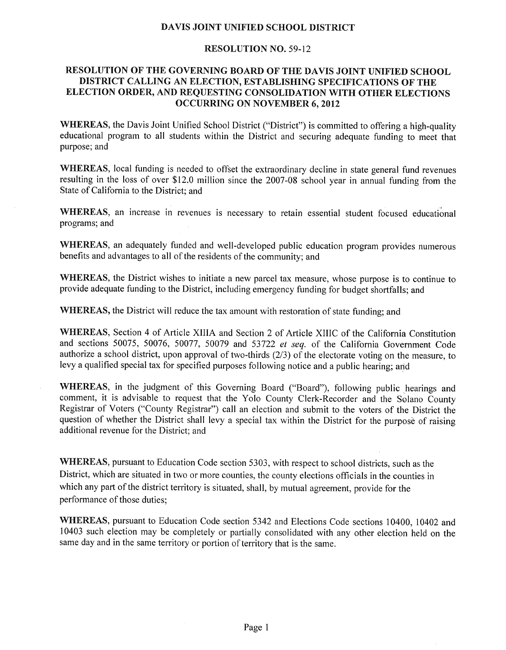# **DAVIS JOINT UNIFIED SCHOOL DISTRICT**

## **RESOLUTION NO. 59-12**

# RESOLUTION OF THE GOVERNING BOARD OF THE DAVIS JOINT UNIFIED SCHOOL **DISTRICT CALLING AN ELECTION, ESTABLISHING** SPECIFICATIONS **OF THE ELECTION ORDER, AND REQUESTING CONSOLIDATION WITH OTHER ELECTIONS OCCURRING ON NOVEMBER 6, 2012**

WHEREAS, the Davis Joint Unified School District ("District") is committed to offering a high-quality educational program to all students within the District and securing adequate funding to meet that purpose; and

**WHEREAS,** local funding is needed to offset the extraordinary decline in state general fund revenues resulting in the loss of over \$12.0 million since the 2007-08 school year in annual funding from the State of California to the District; and

WHEREAS, an increase in revenues is necessary to retain essential student focused educational programs; and

**WHEREAS,** an adequately funded and well-developed public education program provides numerous benefits and advantages to all of the residents of the community; and

**WHEREAS,** the District wishes to initiate a new parcel tax measure, whose purpose is to continue to provide adequate funding to the District, including emergency funding for budget shortfalls; and

**WHEREAS,** the District will reduce the tax amount with restoration of state funding; and

**WHEREAS,** Section 4 of Article XIIIA and Section 2 of Article XIIIC of the California Constitution and sections 50075, 50076, 50077, 50079 and 53722 et seq. of the California Government Code authorize a school district, upon approval of two-thirds (2/3) of the electorate voting on the measure, to levy a qualified special tax for specified purposes following notice and a public hearing; and

**WHEREAS,** in the judgment of this Governing Board ("Board"), following public hearings and comment, it is advisable to request that the Yolo County Clerk-Recorder and the Solano County Registrar of Voters ("County Registrar") call an election and submit to the voters of the District the question of whether the District shall levy a special tax within the District for the purpose of raising additional revenue for the District; and

**WHEREAS,** pursuant to Education Code section 5303, with respect to school districts, such as the District, which are situated in two or more counties, the county elections officials in the counties in which any part of the district territory is situated, shall, by mutual agreement, provide for the performance of those duties;

**WHEREAS,** pursuant to Education Code section 5342 and Elections Code sections 10400, 10402 and 10403 such election may be completely or partially consolidated with any other election held on the same day and in the same territory or portion of territory that is the same.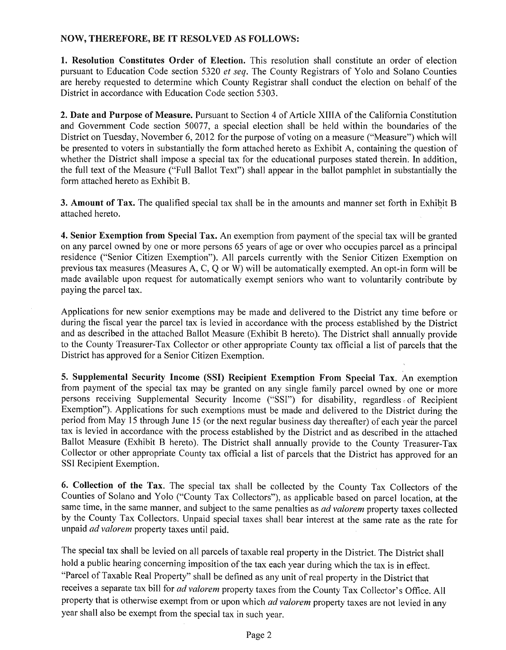# **NOW, THEREFORE, BE IT RESOLVED AS FOLLOWS:**

**1. Resolution Constitutes Order of Election.** This resolution shall constitute an order of election pursuant to Education Code section 5320 *et seq.* The County Registrars of Yolo and Solano Counties are hereby requested to determine which County Registrar shall conduct the election on behalf of the District in accordance with Education Code section *5303.* 

**2. Date and Purpose of Measure.** Pursuant to Section 4 of Article XIIIA of the California Constitution and Government Code section *50077,* a special election shall be held within the boundaries of the District on Tuesday, November 6, 2012 for the purpose of voting on a measure ("Measure") which will be presented to voters in substantially the form attached hereto as Exhibit A, containing the question of whether the District shall impose a special tax for the educational purposes stated therein. In addition, the full text of the Measure ("Full Ballot Text") shall appear in the ballot pamphlet in substantially the form attached hereto as Exhibit B.

**3. Amount of Tax.** The qualified special tax shall be in the amounts and manner set forth in Exhibit B attached hereto.

**4. Senior Exemption from Special Tax.** An exemption from payment of the special tax will be granted on any parcel owned by one or more persons 65 years of age or over who occupies parcel as a principal residence ("Senior Citizen Exemption"). All parcels currently with the Senior Citizen Exemption on previous tax measures (Measures A, C, Q or W) will be automatically exempted. An opt-in form will be made available upon request for automatically exempt seniors who want to voluntarily contribute by paying the parcel tax.

Applications for new senior exemptions may be made and delivered to the District any time before or during the fiscal year the parcel tax is levied in accordance with the process established by the District and as described in the attached Ballot Measure (Exhibit B hereto). The District shall annually provide to the County Treasurer-Tax Collector or other appropriate County tax official a list of parcels that the District has approved for a Senior Citizen Exemption.

**5. Supplemental Security Income (SSI) Recipient Exemption From Special Tax.** An exemption from payment of the special tax may be granted on any single family parcel owned by one or more persons receiving Supplemental Security Income ("SSI") for disability, regardless of Recipient Exemption"). Applications for such exemptions must be made and delivered to the District during the period from May 15 through June 15 (or the next regular business day thereafter) of each year the parcel tax is levied in accordance with the process established by the District and as described in the attached Ballot Measure (Exhibit B hereto). The District shall annually provide to the County Treasurer-Tax Collector or other appropriate County tax official a list of parcels that the District has approved for an SSI Recipient Exemption.

**6. Collection of the Tax.** The special tax shall be collected by the County Tax Collectors of the Counties of Solano and Yolo ("County Tax Collectors"), as applicable based on parcel location, at the same time, in the same manner, and subject to the same penalties as *ad valorem* property taxes collected by the County Tax Collectors. Unpaid special taxes shall bear interest at the same rate as the rate for unpaid *ad valorem* property taxes until paid.

The special tax shall be levied on all parcels of taxable real property in the District. The District shall hold a public hearing concerning imposition of the tax each year during which the tax is in effect. "Parcel of Taxable Real Property" shall be defined as any unit of real property in the District that receives a separate tax bill for *ad valorem* property taxes from the County Tax Collector's Office. All property that is otherwise exempt from or upon which *ad valorem* property taxes are not levied in any year shall also be exempt from the special tax in such year.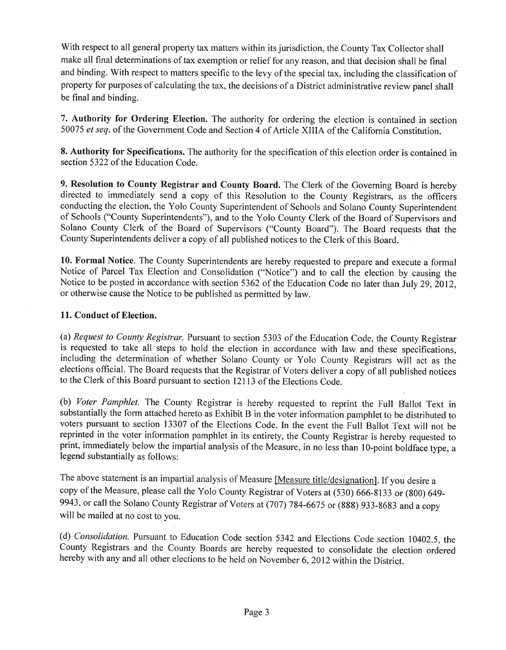With respect to all general property tax matters within its jurisdiction, the County Tax Collector shall make all final determinations of tax exemption or relief for any reason, and that decision shall be final and binding. With respect to matters specific to the levy of the special tax, including the classification of property for purposes of calculating the tax, the decisions of a District administrative review panel shall be final and binding.

**7. Authority for Ordering Election.** The authority for ordering the election is contained in section *50075 et seq.* of the Government Code and Section 4 of Article XIIIA of the California Constitution.

**8. Authority for Specifications.** The authority for the specification of this election order is contained in section 5322 of the Education Code.

**9. Resolution to County Registrar and County Board.** The Clerk of the Governing Board is hereby directed to immediately send a copy of this Resolution to the County Registrars, as the officers conducting the election, the Yolo County Superintendent of Schools and Solano County Superintendent of Schools ("County Superintendents"), and to the Yolo County Clerk of the Board of Supervisors and Solano County Clerk of the Board of Supervisors ("County Board"). The Board requests that the County Superintendents deliver a copy of all published notices to the Clerk of this Board.

**10. Formal Notice.** The County Superintendents are hereby requested to prepare and execute a formal Notice of Parcel Tax Election and Consolidation ("Notice") and to call the election by causing the Notice to be posted in accordance with section 5362 of the Education Code no later than July 29, 2012, or otherwise cause the Notice to be published as permitted by law.

# **11. Conduct of Election.**

*(a) Request to County Registrar.* Pursuant to section 5303 of the Education Code, the County Registrar is requested to take all steps to hold the election in accordance with law and these specifications, including the determination of whether Solano County or Yolo County Registrars will act as the elections official. The Board requests that the Registrar of Voters deliver a copy of all published notices to the Clerk of this Board pursuant to section 12113 of the Elections Code.

*(b) Voter Pamphlet.* The County Registrar is hereby requested to reprint the Full Ballot Text in substantially the form attached hereto as Exhibit B in the voter information pamphlet to be distributed to voters pursuant to section 13307 of the Elections Code. In the event the Full Ballot Text will not be reprinted in the voter information pamphlet in its entirety, the County Registrar is hereby requested to print, immediately below the impartial analysis of the Measure, in no less than 10-point boldface type, a legend substantially as follows:

The above statement is an impartial analysis of Measure [Measure title/designation]. If you desire a copy of the Measure, please call the Yolo County Registrar of Voters at *(530)* 666-8133 or (800) 649- 9943, or call the Solano County Registrar of Voters at (707) *784-6675* or (888) 933-8683 and a copy will be mailed at no cost to you.

(d) *Consolidation.* Pursuant to Education Code section 5342 and Elections Code section 10402.5, the County Registrars and the County Boards are hereby requested to consolidate the election ordered hereby with any and all other elections to be held on November 6, 2012 within the District.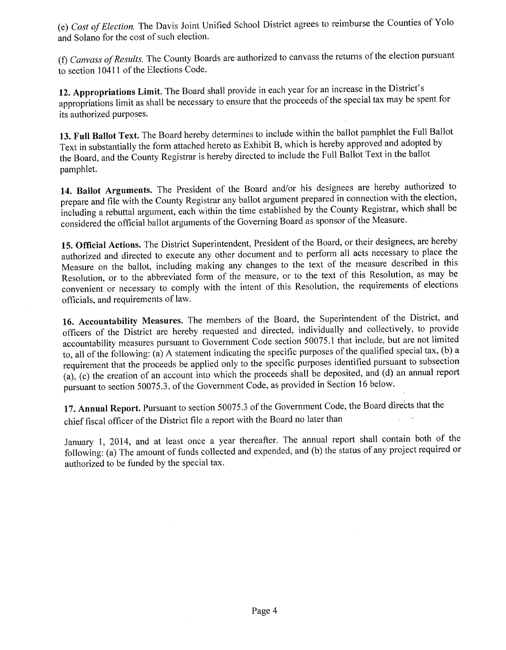*(e) Cost of Election.* The Davis Joint Unified School District agrees to reimburse the Counties of Yolo and Solano for the cost of such election.

*(f) Canvass of Results.* The County Boards are authorized to canvass the returns of the election pursuant to section 10411 of the Elections Code.

**12. Appropriations Limit.** The Board shall provide in each year for an increase in the District's appropriations limit as shall be necessary to ensure that the proceeds of the special tax may be spent for its authorized purposes.

**13. Full Ballot Text.** The Board hereby determines to include within the ballot pamphlet the Full Ballot Text in substantially the form attached hereto as Exhibit B, which is hereby approved and adopted by the Board, and the County Registrar is hereby directed to include the Full Ballot Text in the ballot pamphlet.

**14. Ballot Arguments.** The President of the Board and/or his designees are hereby authorized to prepare and file with the County Registrar any ballot argument prepared in connection with the election, including a rebuttal argument, each within the time established by the County Registrar, which shall be considered the official ballot arguments of the Governing Board as sponsor of the Measure.

**15. Official Actions.** The District Superintendent, President of the Board, or their designees, are hereby authorized and directed to execute any other document and to perform all acts necessary to place the Measure on the ballot, including making any changes to the text of the measure described in this Resolution, or to the abbreviated form of the measure, or to the text of this Resolution, as may be convenient or necessary to comply with the intent of this Resolution, the requirements of elections officials, and requirements of law.

**16. Accountability Measures.** The members of the Board, the Superintendent of the District, and officers of the District are hereby requested and directed, individually and collectively, to provide accountability measures pursuant to Government Code section 50075.1 that include, but are not limited to, all of the following: (a) A statement indicating the specific purposes of the qualified special tax, (b) a requirement that the proceeds be applied only to the specific purposes identified pursuant to subsection (a), (c) the creation of an account into which the proceeds shall be deposited, and (d) an annual report pursuant to section 50075.3. of the Government Code, as provided in Section 16 below.

**17. Annual Report.** Pursuant to section *50075.3* of the Government Code, the Board directs that the chief fiscal officer of the District file a report with the Board no later than

January 1, 2014, and at least once a year thereafter. The annual report shall contain both of the following: (a) The amount of funds collected and expended, and (b) the status of any project required or authorized to be funded by the special tax.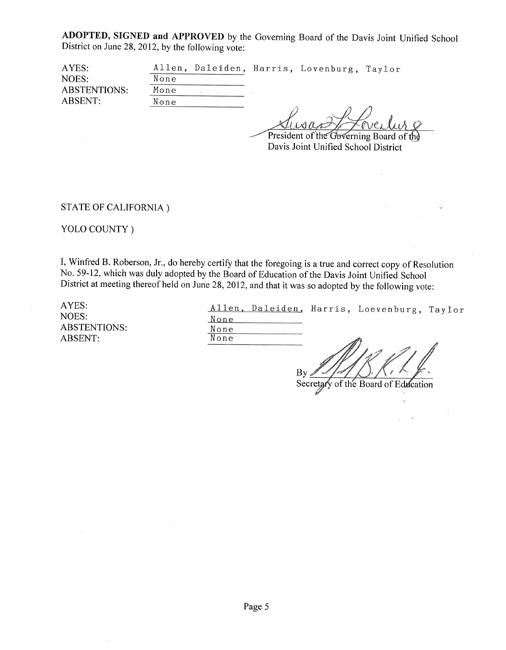**ADOPTED, SIGNED and APPROVED** by the Governing Board of the Davis Joint Unified School District on June 28, 2012, by the following vote:

| AYES:               |      |  | Allen, Daleiden, Harris, Lovenburg, Taylor |  |
|---------------------|------|--|--------------------------------------------|--|
| NOES:               | None |  |                                            |  |
| <b>ABSTENTIONS:</b> | Mone |  |                                            |  |
| ABSENT:             | None |  |                                            |  |
|                     |      |  |                                            |  |

**22** President of the Governing Board of the Davis Joint Unified School District

STATE OF CALIFORNIA)

YOLO COUNTY)

I, Winfred B. Roberson, Jr., do hereby certify that the foregoing is a true and correct copy of Resolution No. 59-12, which was duly adopted by the Board of Education of the Davis Joint Unified School District at meeting thereof held on June 28, 2012, and that it was so adopted by the following vote:

AYES: NOES: ABSTENTIONS: ABSENT:

|      |  | Allen, Daleiden, Harris, Loevenburg, Taylor |  |
|------|--|---------------------------------------------|--|
| None |  |                                             |  |
| None |  |                                             |  |
| None |  | M)                                          |  |

 $\mathbf{B}$ 

Secretary of the Board of Education

 $\mathcal{L}$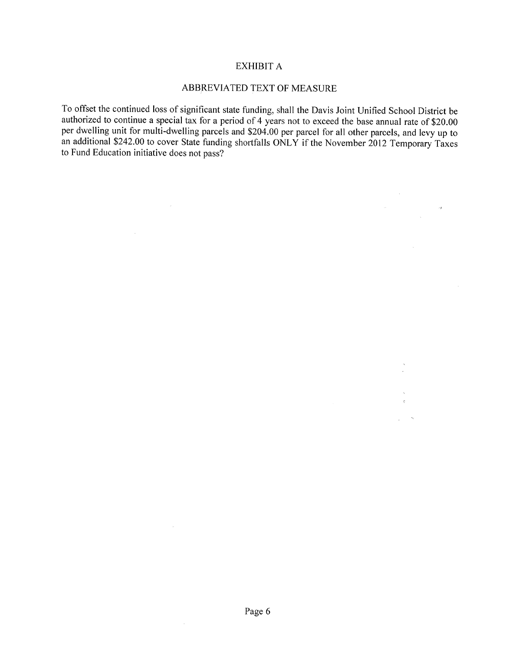#### EXHIBIT A

#### ABBREVIATED TEXT OF MEASURE

To offset the continued loss of significant state funding, shall the Davis Joint Unified School District be authorized to continue a special tax for a period of 4 years not to exceed the base annual rate of \$20.00 per dwelling unit for multi-dwelling parcels and \$204.00 per parcel for all other parcels, and levy up to an additional \$242.00 to cover State funding shortfalls ONLY if the November 2012 Temporary Taxes to Fund Education initiative does not pass?

 $\rightarrow$   $\beta$ 

 $\sim 10^{11}$ 

 $\sim$ 

 $\mathcal{L}$ 

 $\sim$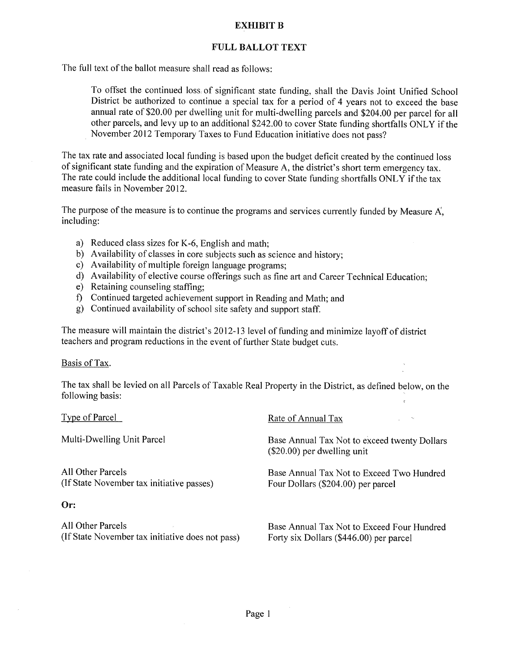# **EXHIBIT B**

# **FULL BALLOT TEXT**

The full text of the ballot measure shall read as follows:

To offset the continued loss, of significant state funding, shall the Davis Joint Unified School District be authorized to continue a special tax for a period of 4 years not to exceed the base annual rate of \$20.00 per dwelling unit for multi-dwelling parcels and \$204.00 per parcel for all other parcels, and levy up to an additional \$242.00 to cover State funding shortfalls ONLY if the November 2012 Temporary Taxes to Fund Education initiative does not pass?

The tax rate and associated local funding is based upon the budget deficit created by the continued loss of significant state funding and the expiration of Measure A, the district's short term emergency tax. The rate could include the additional local funding to cover State funding shortfalls ONLY if the tax measure fails in November 2012.

The purpose of the measure is to continue the programs and services currently funded by Measure  $A^{\dagger}$ , including:

- a) Reduced class sizes for K-6, English and math;
- b) Availability of classes in core subjects such as science and history;
- c) Availability of multiple foreign language programs;
- d) Availability of elective course offerings such as fine art and Career Technical Education;
- e) Retaining counseling staffing;
- 1) Continued targeted achievement support in Reading and Math; and
- g) Continued availability of school site safety and support staff.

The measure will maintain the district's 2012-13 level of funding and minimize layoff of district teachers and program reductions in the event of further State budget cuts.

#### Basis of Tax.

The tax shall be levied on all Parcels of Taxable Real Property in the District, as defined below, on the following basis:

| Type of Parcel                                                        | Rate of Annual Tax<br>. N                                                             |
|-----------------------------------------------------------------------|---------------------------------------------------------------------------------------|
| Multi-Dwelling Unit Parcel                                            | Base Annual Tax Not to exceed twenty Dollars<br>$(\$20.00)$ per dwelling unit         |
| All Other Parcels<br>(If State November tax initiative passes)        | Base Annual Tax Not to Exceed Two Hundred<br>Four Dollars (\$204.00) per parcel       |
| Or:                                                                   |                                                                                       |
| All Other Parcels<br>(If State November tax initiative does not pass) | Base Annual Tax Not to Exceed Four Hundred<br>Forty six Dollars (\$446.00) per parcel |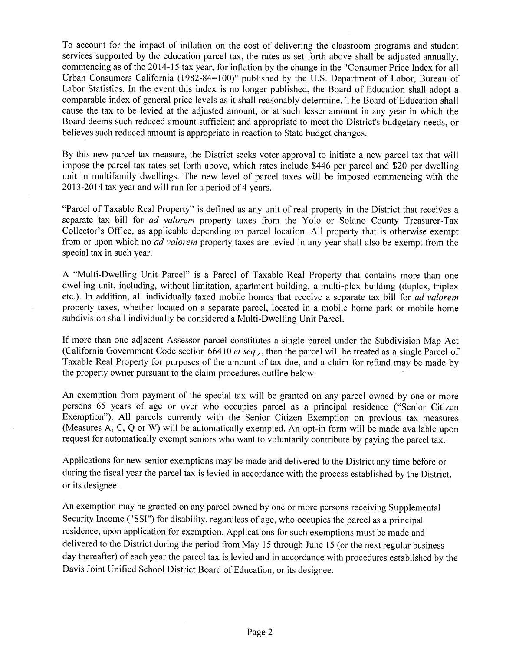To account for the impact of inflation on the cost of delivering the classroom programs and student services supported by the education parcel tax, the rates as set forth above shall be adjusted annually, commencing as of the 2014-15 tax year, for inflation by the change in the "Consumer Price Index for all Urban Consumers California (1982-84=100)" published by the U.S. Department of Labor, Bureau of Labor Statistics. In the event this index is no longer published, the Board of Education shall adopt a comparable index of general price levels as it shall reasonably determine. The Board of Education shall cause the tax to be levied at the adjusted amount, or at such lesser amount in any year in which the Board deems such reduced amount sufficient and appropriate to meet the District's budgetary needs, or believes such reduced amount is appropriate in reaction to State budget changes.

By this new parcel tax measure, the District seeks voter approval to initiate a new parcel tax that will impose the parcel tax rates set forth above, which rates include \$446 per parcel and \$20 per dwelling unit in multifamily dwellings. The new level of parcel taxes will be imposed commencing with the 2013-2014 tax year and will run for a period of 4 years.

"Parcel of Taxable Real Property" is defined as any unit of real property in the District that receives a separate tax bill for *ad valorem* property taxes from the Yolo or Solano County Treasurer-Tax Collector's Office, as applicable depending on parcel location. All property that is otherwise exempt from or upon which no *ad valorem* property taxes are levied in any year shall also be exempt from the special tax in such year.

A "Multi-Dwelling Unit Parcel" is a Parcel of Taxable Real Property that contains more than one dwelling unit, including, without limitation, apartment building, a multi-plex building (duplex, triplex etc.). In addition, all individually taxed mobile homes that receive a separate tax bill for *ad valorem*  property taxes, whether located on a separate parcel, located in a mobile home park or mobile home subdivision shall individually be considered a Multi-Dwelling Unit Parcel.

If more than one adjacent Assessor parcel constitutes a single parcel under the Subdivision Map Act (California Government Code section 66410 *el seq.),* then the parcel will be treated as a single Parcel of Taxable Real Property for purposes of the amount of tax due, and a claim for refund may be made by the property owner pursuant to the claim procedures outline below.

An exemption from payment of the special tax will be granted on any parcel owned by one or more persons 65 years of age or over who occupies parcel as a principal residence ("Senior Citizen Exemption"). All parcels currently with the Senior Citizen Exemption on previous tax measures (Measures A, C, Q or W) will be automatically exempted. An opt-in form will be made available upon request for automatically exempt seniors who want to voluntarily contribute by paying the parcel tax.

Applications for new senior exemptions may be made and delivered to the District any time before or during the fiscal year the parcel tax is levied in accordance with the process established by the District, or its designee.

An exemption may be granted on any parcel owned by one or more persons receiving Supplemental Security Income ("SSI") for disability, regardless of age, who occupies the parcel as a principal residence, upon application for exemption. Applications for such exemptions must be made and delivered to the District during the period from May 15 through June 15 (or the next regular business day thereafter) of each year the parcel tax is levied and in accordance with procedures established by the Davis Joint Unified School District Board of Education, or its designee.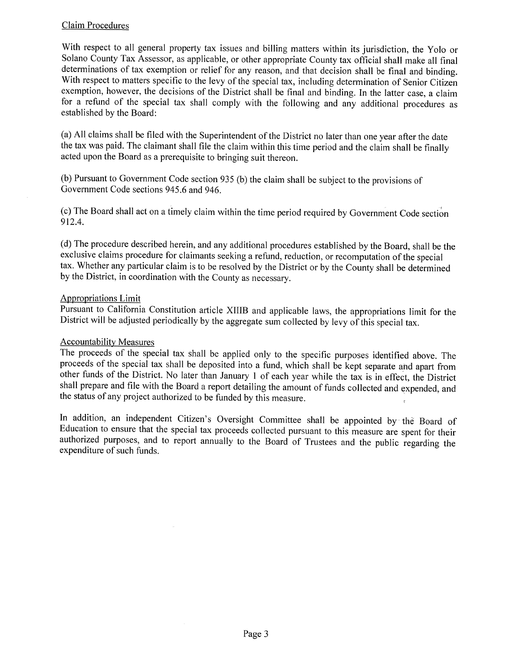# Claim Procedures

With respect to all general property tax issues and billing matters within its jurisdiction, the Yolo or Solano County Tax Assessor, as applicable, or other appropriate County tax official shall make all final determinations of tax exemption or relief for any reason, and that decision shall be final and binding. With respect to matters specific to the levy of the special tax, including determination of Senior Citizen exemption, however, the decisions of the District shall be final and binding. In the latter case, a claim for a refund of the special tax shall comply with the following and any additional procedures as established by the Board:

(a) All claims shall be filed with the Superintendent of the District no later than one year after the date the tax was paid. The claimant shall file the claim within this time period and the claim shall be finally acted upon the Board as a prerequisite to bringing suit thereon.

(b) Pursuant to Government Code section *935* (b) the claim shall be subject to the provisions of Government Code sections *945.6* and 946.

(c) The Board shall act on a timely claim within the time period required by Government Codesection 912.4.

(d) The procedure described herein, and any additional procedures established by the Board, shall be the exclusive claims procedure for claimants seeking a refund, reduction, or recomputation of the special tax. Whether any particular claim is to be resolved by the District or by the County shall be determined by the District, in coordination with the County as necessary.

## Appropriations Limit

Pursuant to California Constitution article XIJIB and applicable laws, the appropriations limit for the District will be adjusted periodically by the aggregate sum collected by levy of this special tax.

#### Accountability Measures

The proceeds of the special tax shall be applied only to the specific purposes identified above. The proceeds of the special tax shall be deposited into a fund, which shall be kept separate and apart from other funds of the District. No later than January 1 of each year while the tax is in effect, the District shall prepare and file with the Board a report detailing the amount of funds collected and expended, and the status of any project authorized to be funded by this measure.

In addition, an independent Citizen's Oversight Committee shall be appointed by the Board of Education to ensure that the special tax proceeds collected pursuant to this measure are spent for their authorized purposes, and to report annually to the Board of Trustees and the public regarding the expenditure of such funds.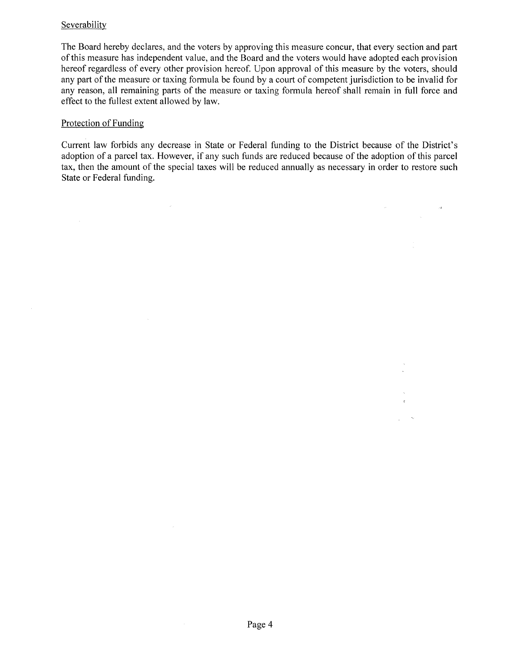# Severability

The Board hereby declares, and the voters by approving this measure concur, that every section and part of this measure has independent value, and the Board and the voters would have adopted each provision hereof regardless of every other provision hereof. Upon approval of this measure by the voters, should any part of the measure or taxing formula be found by a court of competent jurisdiction to be invalid for any reason, all remaining parts of the measure or taxing formula hereof shall remain in full force and effect to the fullest extent allowed by law.

## Protection of Funding

 $\mathcal{L}_{\text{eff}}$ 

 $\sim$ 

Current law forbids any decrease in State or Federal funding to the District because of the District's adoption of a parcel tax. However, if any such funds are reduced because of the adoption of this parcel tax, then the amount of the special taxes will be reduced annually as necessary in order to restore such State or Federal funding.

 $\label{eq:2.1} \frac{d\mathbf{r}}{d\mathbf{r}} = \frac{1}{2} \left( \frac{d\mathbf{r}}{d\mathbf{r}} \right)^2 \mathbf{r}^2 + \frac{1}{2} \left( \frac{d\mathbf{r}}{d\mathbf{r}} \right)^2 \mathbf{r}^2 + \frac{1}{2} \left( \frac{d\mathbf{r}}{d\mathbf{r}} \right)^2 \mathbf{r}^2 + \frac{1}{2} \left( \frac{d\mathbf{r}}{d\mathbf{r}} \right)^2 \mathbf{r}^2 + \frac{1}{2} \left( \frac{d\mathbf{r}}{d\mathbf{r}}$ 

Ŵ.

 $\sim$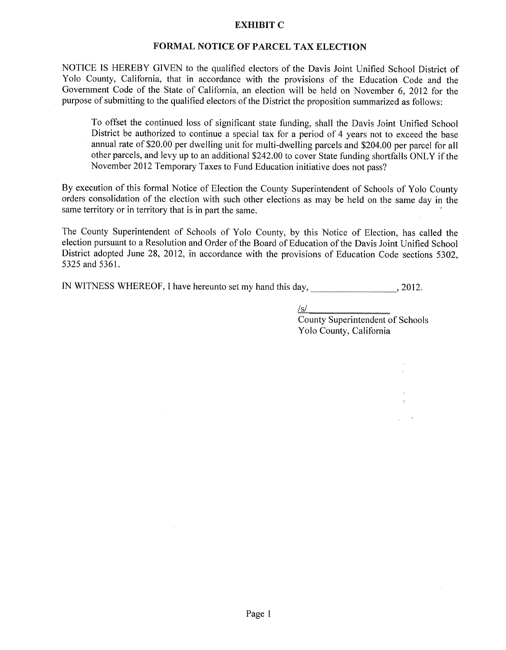#### **EXHIBIT C**

#### **FORMAL NOTICE OF PARCEL TAX ELECTION**

NOTICE IS HEREBY GIVEN to the qualified electors of the Davis Joint Unified School District of Yolo County, California, that in accordance with the provisions of the Education Code and the Government Code of the State of California, an, election will be held on November 6, 2012 for the purpose of submitting to the qualified electors of the District the proposition summarized as follows:

To offset the continued loss of significant state funding, shall the Davis Joint Unified School District be authorized to continue a special tax for a period of 4 years not to exceed the base annual rate of \$20.00 per dwelling unit for multi-dwelling parcels and \$204.00 per parcel for all other parcels, and levy up to an additional \$242.00 to cover State funding shortfalls ONLY if the November 2012 Temporary Taxes to Fund Education initiative does not pass?

By execution of this formal Notice of Election the County Superintendent of Schools of Yolo County orders consolidation of the election with such other elections as may be held on the same day in the same territory or in territory that is in part the same.

The County Superintendent of Schools of Yolo County, by this Notice of Election, has called the election pursuant to a Resolution and Order of the Board of Education of the Davis Joint Unified School District adopted June 28, 2012, in accordance with the provisions of Education Code sections *5302,*  5325 and *5361.* 

IN WITNESS WHEREOF, I have hereunto set my hand this day, 3012.

<u>/s/</u>

County Superintendent of Schools Yolo County, California